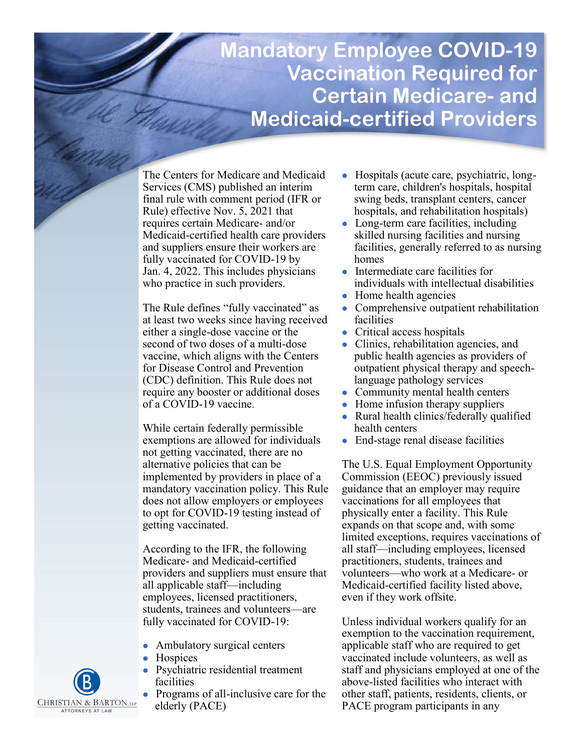# **Mandatory Employee COVID-19 Vaccination Required for Certain Medicare- and Medicaid-certified Providers**

The Centers for Medicare and Medicaid Services (CMS) published an interim final rule with comment period (IFR or Rule) effective Nov. 5, 2021 that requires certain Medicare- and/or Medicaid-certified health care providers and suppliers ensure their workers are fully vaccinated for COVID-19 by Jan. 4, 2022. This includes physicians who practice in such providers.

The Rule defines "fully vaccinated" as at least two weeks since having received either a single-dose vaccine or the second of two doses of a multi-dose vaccine, which aligns with the Centers for Disease Control and Prevention (CDC) definition. This Rule does not require any booster or additional doses of a COVID-19 vaccine.

While certain federally permissible exemptions are allowed for individuals not getting vaccinated, there are no alternative policies that can be implemented by providers in place of a mandatory vaccination policy. This Rule does not allow employers or employees to opt for COVID-19 testing instead of getting vaccinated.

According to the IFR, the following Medicare- and Medicaid-certified providers and suppliers must ensure that all applicable staff—including employees, licensed practitioners, students, trainees and volunteers—are fully vaccinated for COVID-19:

- ⚫ Ambulatory surgical centers
- **Hospices**
- ⚫ Psychiatric residential treatment facilities
- ⚫ Programs of all-inclusive care for the elderly (PACE)
- ⚫ Hospitals (acute care, psychiatric, longterm care, children's hospitals, hospital swing beds, transplant centers, cancer hospitals, and rehabilitation hospitals)
- Long-term care facilities, including skilled nursing facilities and nursing facilities, generally referred to as nursing homes
- ⚫ Intermediate care facilities for individuals with intellectual disabilities
- ⚫ Home health agencies
- ⚫ Comprehensive outpatient rehabilitation facilities
- ⚫ Critical access hospitals
- ⚫ Clinics, rehabilitation agencies, and public health agencies as providers of outpatient physical therapy and speechlanguage pathology services
- ⚫ Community mental health centers
- ⚫ Home infusion therapy suppliers
- ⚫ Rural health clinics/federally qualified health centers
- End-stage renal disease facilities

The U.S. Equal Employment Opportunity Commission (EEOC) previously issued guidance that an employer may require vaccinations for all employees that physically enter a facility. This Rule expands on that scope and, with some limited exceptions, requires vaccinations of all staff—including employees, licensed practitioners, students, trainees and volunteers—who work at a Medicare- or Medicaid-certified facility listed above, even if they work offsite.

Unless individual workers qualify for an exemption to the vaccination requirement, applicable staff who are required to get vaccinated include volunteers, as well as staff and physicians employed at one of the above-listed facilities who interact with other staff, patients, residents, clients, or PACE program participants in any